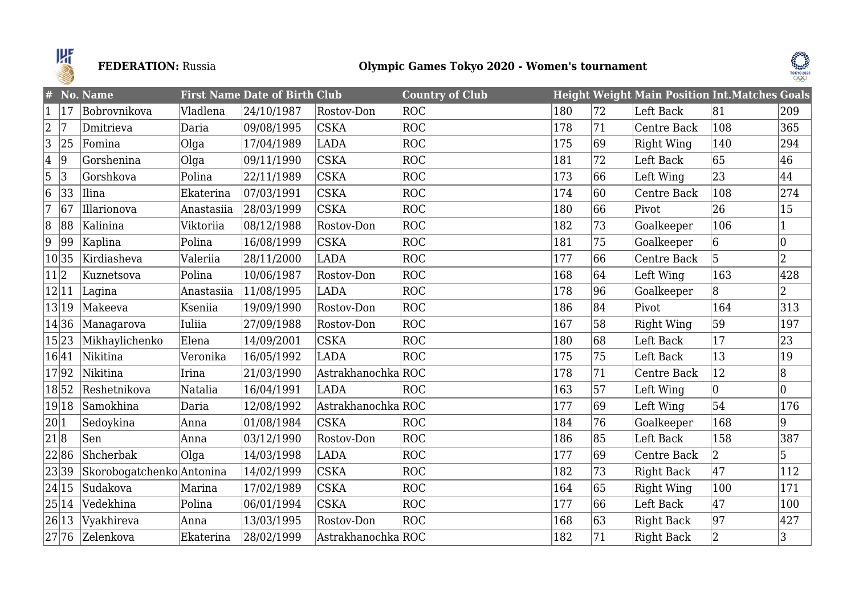

# **FEDERATION:** Russia **Olympic Games Tokyo 2020 - Women's tournament**



| #              |       | No. Name                  |            | <b>First Name Date of Birth Club</b> |                    | <b>Country of Club</b> |     |    | <b>Height Weight Main Position Int. Matches Goals</b> |              |              |
|----------------|-------|---------------------------|------------|--------------------------------------|--------------------|------------------------|-----|----|-------------------------------------------------------|--------------|--------------|
| $\mathbf{1}$   | 17    | Bobrovnikova              | Vladlena   | 24/10/1987                           | Rostov-Don         | ROC                    | 180 | 72 | Left Back                                             | 81           | 209          |
| $\overline{2}$ | 17    | Dmitrieva                 | Daria      | 09/08/1995                           | <b>CSKA</b>        | ROC                    | 178 | 71 | Centre Back                                           | 108          | 365          |
| 3              | 25    | Fomina                    | $O$ lga    | 17/04/1989                           | <b>LADA</b>        | ROC                    | 175 | 69 | Right Wing                                            | 140          | 294          |
| 4              | 9     | Gorshenina                | Olga       | 09/11/1990                           | <b>CSKA</b>        | ROC                    | 181 | 72 | Left Back                                             | 65           | 46           |
| $\overline{5}$ | 3     | Gorshkova                 | Polina     | 22/11/1989                           | <b>CSKA</b>        | ROC                    | 173 | 66 | Left Wing                                             | 23           | 44           |
| 6              | 33    | Ilina                     | Ekaterina  | 07/03/1991                           | <b>CSKA</b>        | ROC                    | 174 | 60 | Centre Back                                           | 108          | 274          |
| 17             | 67    | Illarionova               | Anastasiia | 28/03/1999                           | <b>CSKA</b>        | ROC                    | 180 | 66 | Pivot                                                 | 26           | 15           |
| 8              | 88    | Kalinina                  | Viktoriia  | 08/12/1988                           | Rostov-Don         | ROC                    | 182 | 73 | Goalkeeper                                            | 106          | $\vert$ 1    |
| 9              | 99    | Kaplina                   | Polina     | 16/08/1999                           | <b>CSKA</b>        | ROC                    | 181 | 75 | Goalkeeper                                            | 6            | 0            |
| 10 35          |       | Kirdiasheva               | Valeriia   | 28/11/2000                           | <b>LADA</b>        | ROC                    | 177 | 66 | Centre Back                                           | 5            | 2            |
| 11 2           |       | Kuznetsova                | Polina     | 10/06/1987                           | Rostov-Don         | ROC                    | 168 | 64 | Left Wing                                             | 163          | 428          |
| 12 11          |       | Lagina                    | Anastasiia | 11/08/1995                           | <b>LADA</b>        | ROC                    | 178 | 96 | Goalkeeper                                            | 8            | $ 2\rangle$  |
| 13 19          |       | Makeeva                   | Kseniia    | 19/09/1990                           | Rostov-Don         | ROC                    | 186 | 84 | Pivot                                                 | 164          | 313          |
| 14 36          |       | Managarova                | Iuliia     | 27/09/1988                           | Rostov-Don         | ROC                    | 167 | 58 | <b>Right Wing</b>                                     | 59           | 197          |
| 15 23          |       | Mikhaylichenko            | Elena      | 14/09/2001                           | <b>CSKA</b>        | ROC                    | 180 | 68 | Left Back                                             | 17           | 23           |
| 16 41          |       | Nikitina                  | Veronika   | 16/05/1992                           | <b>LADA</b>        | ROC                    | 175 | 75 | Left Back                                             | $ 13\rangle$ | $ 19\rangle$ |
| 1792           |       | Nikitina                  | Irina      | 21/03/1990                           | AstrakhanochkaROC  |                        | 178 | 71 | Centre Back                                           | $ 12\rangle$ | 8            |
| 1852           |       | Reshetnikova              | Natalia    | 16/04/1991                           | <b>LADA</b>        | ROC                    | 163 | 57 | Left Wing                                             | $ 0\rangle$  | 10           |
|                | 19 18 | Samokhina                 | Daria      | 12/08/1992                           | Astrakhanochka ROC |                        | 177 | 69 | Left Wing                                             | 54           | 176          |
| 20 1           |       | Sedoykina                 | Anna       | 01/08/1984                           | <b>CSKA</b>        | ROC                    | 184 | 76 | Goalkeeper                                            | 168          | 9            |
| 21 8           |       | Sen                       | Anna       | 03/12/1990                           | Rostov-Don         | ROC                    | 186 | 85 | Left Back                                             | 158          | 387          |
| 2286           |       | Shcherbak                 | Olga       | 14/03/1998                           | <b>LADA</b>        | ROC                    | 177 | 69 | Centre Back                                           | $ 2\rangle$  | 5            |
| 23 39          |       | Skorobogatchenko Antonina |            | 14/02/1999                           | <b>CSKA</b>        | ROC                    | 182 | 73 | Right Back                                            | 47           | 112          |
| 24 15          |       | Sudakova                  | Marina     | 17/02/1989                           | <b>CSKA</b>        | ROC                    | 164 | 65 | Right Wing                                            | 100          | 171          |
|                | 25 14 | Vedekhina                 | Polina     | 06/01/1994                           | <b>CSKA</b>        | ROC                    | 177 | 66 | Left Back                                             | 47           | 100          |
| 26 13          |       | Vyakhireva                | Anna       | 13/03/1995                           | Rostov-Don         | ROC                    | 168 | 63 | <b>Right Back</b>                                     | 97           | 427          |
|                |       | 27 76 Zelenkova           | Ekaterina  | 28/02/1999                           | Astrakhanochka ROC |                        | 182 | 71 | Right Back                                            | $ 2\rangle$  | 3            |